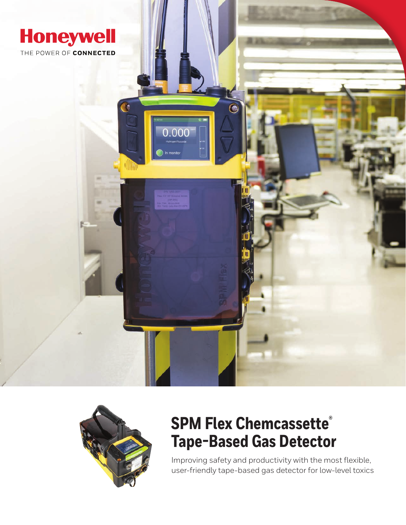



# **SPM Flex Chemcassette® Tape-Based Gas Detector**

Improving safety and productivity with the most flexible, user-friendly tape-based gas detector for low-level toxics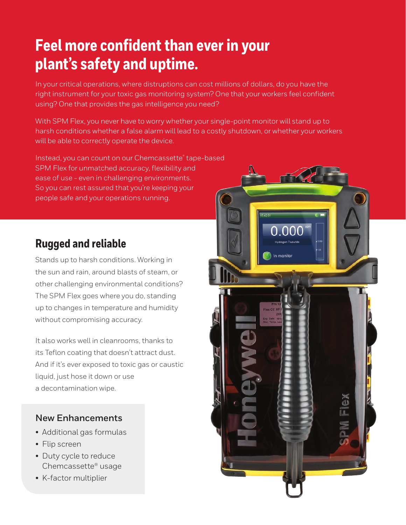# **Feel more confident than ever in your plant's safety and uptime.**

In your critical operations, where distruptions can cost millions of dollars, do you have the right instrument for your toxic gas monitoring system? One that your workers feel confident using? One that provides the gas intelligence you need?

With SPM Flex, you never have to worry whether your single-point monitor will stand up to harsh conditions whether a false alarm will lead to a costly shutdown, or whether your workers will be able to correctly operate the device.

Instead, you can count on our Chemcassette® tape-based SPM Flex for unmatched accuracy, flexibility and ease of use - even in challenging environments. So you can rest assured that you're keeping your people safe and your operations running.

# **Rugged and reliable**

Stands up to harsh conditions. Working in the sun and rain, around blasts of steam, or other challenging environmental conditions? The SPM Flex goes where you do, standing up to changes in temperature and humidity without compromising accuracy.

It also works well in cleanrooms, thanks to its Teflon coating that doesn't attract dust. And if it's ever exposed to toxic gas or caustic liquid, just hose it down or use a decontamination wipe.

### **New Enhancements**

- Additional gas formulas
- Flip screen
- Duty cycle to reduce Chemcassette® usage
- K-factor multiplier

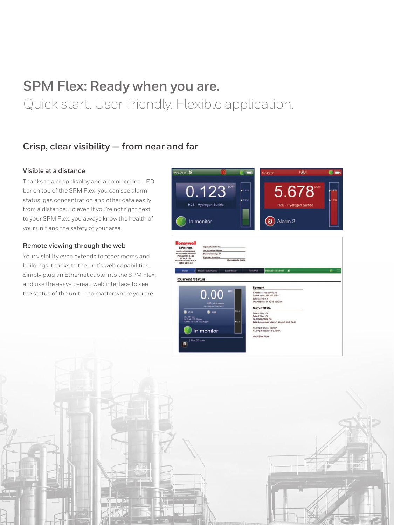# **SPM Flex: Ready when you are.** Quick start. User-friendly. Flexible application.

### **Crisp, clear visibility — from near and far**

#### **Visible at a distance**

Thanks to a crisp display and a color-coded LED bar on top of the SPM Flex, you can see alarm status, gas concentration and other data easily from a distance. So even if you're not right next to your SPM Flex, you always know the health of your unit and the safety of your area.

#### **Remote viewing through the web**

Your visibility even extends to other rooms and buildings, thanks to the unit's web capabilities. Simply plug an Ethernet cable into the SPM Flex, and use the easy-to-read web interface to see the status of the unit — no matter where you are.

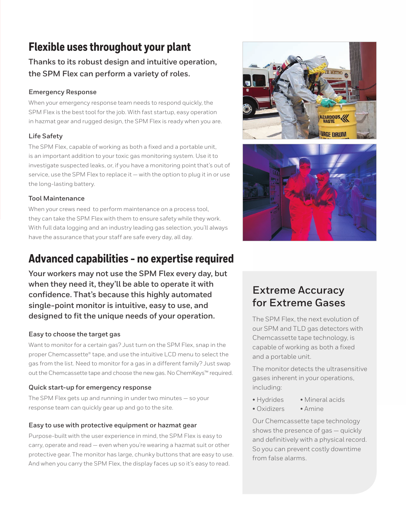# **Flexible uses throughout your plant**

**Thanks to its robust design and intuitive operation, the SPM Flex can perform a variety of roles.**

#### **Emergency Response**

When your emergency response team needs to respond quickly, the SPM Flex is the best tool for the job. With fast startup, easy operation in hazmat gear and rugged design, the SPM Flex is ready when you are.

#### **Life Safety**

The SPM Flex, capable of working as both a fixed and a portable unit, is an important addition to your toxic gas monitoring system. Use it to investigate suspected leaks, or, if you have a monitoring point that's out of service, use the SPM Flex to replace it — with the option to plug it in or use the long-lasting battery.

#### **Tool Maintenance**

When your crews need to perform maintenance on a process tool, they can take the SPM Flex with them to ensure safety while they work. With full data logging and an industry leading gas selection, you'll always have the assurance that your staff are safe every day, all day.

# **Advanced capabilities - no expertise required**

**Your workers may not use the SPM Flex every day, but when they need it, they'll be able to operate it with confidence. That's because this highly automated single-point monitor is intuitive, easy to use, and designed to fit the unique needs of your operation.** 

#### **Easy to choose the target gas**

Want to monitor for a certain gas? Just turn on the SPM Flex, snap in the proper Chemcassette® tape, and use the intuitive LCD menu to select the gas from the list. Need to monitor for a gas in a different family? Just swap out the Chemcassette tape and choose the new gas. No ChemKeys™ required.

#### **Quick start-up for emergency response**

The SPM Flex gets up and running in under two minutes — so your response team can quickly gear up and go to the site.

#### **Easy to use with protective equipment or hazmat gear**

Purpose-built with the user experience in mind, the SPM Flex is easy to carry, operate and read — even when you're wearing a hazmat suit or other protective gear. The monitor has large, chunky buttons that are easy to use. And when you carry the SPM Flex, the display faces up so it's easy to read.

![](_page_3_Picture_16.jpeg)

![](_page_3_Picture_17.jpeg)

### **Extreme Accuracy for Extreme Gases**

The SPM Flex, the next evolution of our SPM and TLD gas detectors with Chemcassette tape technology, is capable of working as both a fixed and a portable unit.

The monitor detects the ultrasensitive gases inherent in your operations, including:

- Hydrides Mineral acids
- Oxidizers Amine

Our Chemcassette tape technology shows the presence of gas — quickly and definitively with a physical record. So you can prevent costly downtime from false alarms.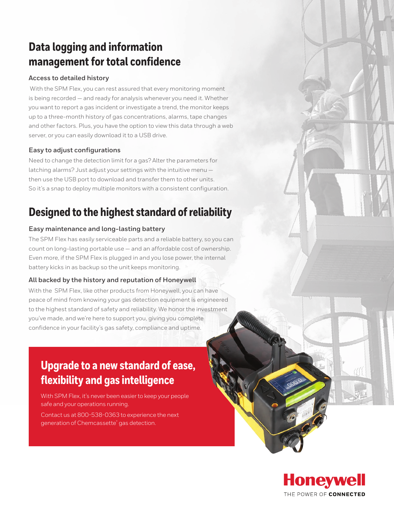# **Data logging and information management for total confidence**

#### **Access to detailed history**

 With the SPM Flex, you can rest assured that every monitoring moment is being recorded — and ready for analysis whenever you need it. Whether you want to report a gas incident or investigate a trend, the monitor keeps up to a three-month history of gas concentrations, alarms, tape changes and other factors. Plus, you have the option to view this data through a web server, or you can easily download it to a USB drive.

#### **Easy to adjust configurations**

Need to change the detection limit for a gas? Alter the parameters for latching alarms? Just adjust your settings with the intuitive menu then use the USB port to download and transfer them to other units. So it's a snap to deploy multiple monitors with a consistent configuration.

### **Designed to the highest standard of reliability**

#### **Easy maintenance and long-lasting battery**

The SPM Flex has easily serviceable parts and a reliable battery, so you can count on long-lasting portable use — and an affordable cost of ownership. Even more, if the SPM Flex is plugged in and you lose power, the internal battery kicks in as backup so the unit keeps monitoring.

#### **All backed by the history and reputation of Honeywell**

With the SPM Flex, like other products from Honeywell, you can have peace of mind from knowing your gas detection equipment is engineered to the highest standard of safety and reliability. We honor the investment you've made, and we're here to support you, giving you complete confidence in your facility's gas safety, compliance and uptime.

## **Upgrade to a new standard of ease, flexibility and gas intelligence**

With SPM Flex, it's never been easier to keep your people safe and your operations running.

Contact us at 800-538-0363 to experience the next generation of Chemcassette® gas detection.

![](_page_4_Picture_13.jpeg)

**MATTER**